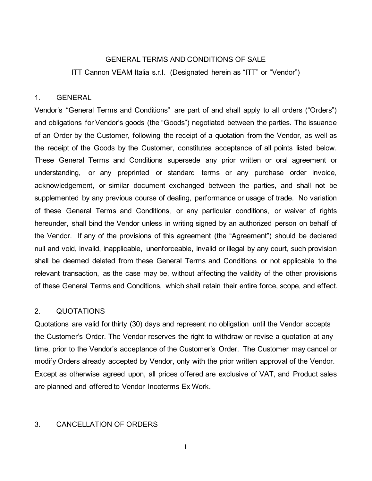#### GENERAL TERMS AND CONDITIONS OF SALE

ITT Cannon VEAM Italia s.r.l. (Designated herein as "ITT" or "Vendor")

#### 1. GENERAL

Vendor's "General Terms and Conditions" are part of and shall apply to all orders ("Orders") and obligations for Vendor's goods (the "Goods") negotiated between the parties. The issuance of an Order by the Customer, following the receipt of a quotation from the Vendor, as well as the receipt of the Goods by the Customer, constitutes acceptance of all points listed below. These General Terms and Conditions supersede any prior written or oral agreement or understanding, or any preprinted or standard terms or any purchase order invoice, acknowledgement, or similar document exchanged between the parties, and shall not be supplemented by any previous course of dealing, performance or usage of trade. No variation of these General Terms and Conditions, or any particular conditions, or waiver of rights hereunder, shall bind the Vendor unless in writing signed by an authorized person on behalf of the Vendor. If any of the provisions of this agreement (the "Agreement") should be declared null and void, invalid, inapplicable, unenforceable, invalid or illegal by any court, such provision shall be deemed deleted from these General Terms and Conditions or not applicable to the relevant transaction, as the case may be, without affecting the validity of the other provisions of these General Terms and Conditions, which shall retain their entire force, scope, and effect.

## 2. QUOTATIONS

Quotations are valid for thirty (30) days and represent no obligation until the Vendor accepts the Customer's Order. The Vendor reserves the right to withdraw or revise a quotation at any time, prior to the Vendor's acceptance of the Customer's Order. The Customer may cancel or modify Orders already accepted by Vendor, only with the prior written approval of the Vendor. Except as otherwise agreed upon, all prices offered are exclusive of VAT, and Product sales are planned and offered to Vendor Incoterms Ex Work.

#### 3. CANCELLATION OF ORDERS

1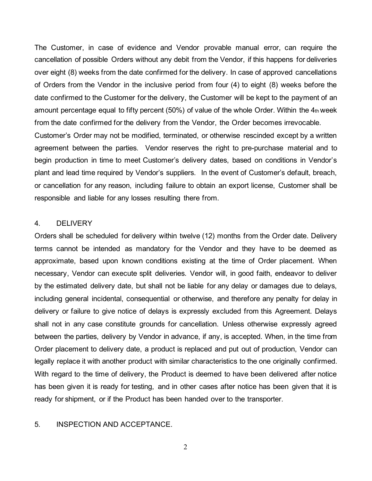The Customer, in case of evidence and Vendor provable manual error, can require the cancellation of possible Orders without any debit from the Vendor, if this happens for deliveries over eight (8) weeks from the date confirmed for the delivery. In case of approved cancellations of Orders from the Vendor in the inclusive period from four (4) to eight (8) weeks before the date confirmed to the Customer for the delivery, the Customer will be kept to the payment of an amount percentage equal to fifty percent (50%) of value of the whole Order. Within the 4th week from the date confirmed for the delivery from the Vendor, the Order becomes irrevocable. Customer's Order may not be modified, terminated, or otherwise rescinded except by a written agreement between the parties. Vendor reserves the right to pre-purchase material and to begin production in time to meet Customer's delivery dates, based on conditions in Vendor's plant and lead time required by Vendor's suppliers. In the event of Customer's default, breach, or cancellation for any reason, including failure to obtain an export license, Customer shall be responsible and liable for any losses resulting there from.

#### 4. DELIVERY

Orders shall be scheduled for delivery within twelve (12) months from the Order date. Delivery terms cannot be intended as mandatory for the Vendor and they have to be deemed as approximate, based upon known conditions existing at the time of Order placement. When necessary, Vendor can execute split deliveries. Vendor will, in good faith, endeavor to deliver by the estimated delivery date, but shall not be liable for any delay or damages due to delays, including general incidental, consequential or otherwise, and therefore any penalty for delay in delivery or failure to give notice of delays is expressly excluded from this Agreement. Delays shall not in any case constitute grounds for cancellation. Unless otherwise expressly agreed between the parties, delivery by Vendor in advance, if any, is accepted. When, in the time from Order placement to delivery date, a product is replaced and put out of production, Vendor can legally replace it with another product with similar characteristics to the one originally confirmed. With regard to the time of delivery, the Product is deemed to have been delivered after notice has been given it is ready for testing, and in other cases after notice has been given that it is ready for shipment, or if the Product has been handed over to the transporter.

### 5. INSPECTION AND ACCEPTANCE.

2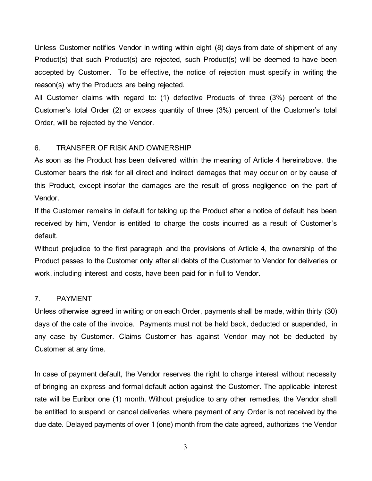Unless Customer notifies Vendor in writing within eight (8) days from date of shipment of any Product(s) that such Product(s) are rejected, such Product(s) will be deemed to have been accepted by Customer. To be effective, the notice of rejection must specify in writing the reason(s) why the Products are being rejected.

All Customer claims with regard to: (1) defective Products of three (3%) percent of the Customer's total Order (2) or excess quantity of three (3%) percent of the Customer's total Order, will be rejected by the Vendor.

## 6. TRANSFER OF RISK AND OWNERSHIP

As soon as the Product has been delivered within the meaning of Article 4 hereinabove, the Customer bears the risk for all direct and indirect damages that may occur on or by cause of this Product, except insofar the damages are the result of gross negligence on the part of Vendor.

If the Customer remains in default for taking up the Product after a notice of default has been received by him, Vendor is entitled to charge the costs incurred as a result of Customer's default.

Without prejudice to the first paragraph and the provisions of Article 4, the ownership of the Product passes to the Customer only after all debts of the Customer to Vendor for deliveries or work, including interest and costs, have been paid for in full to Vendor.

## 7. PAYMENT

Unless otherwise agreed in writing or on each Order, payments shall be made, within thirty (30) days of the date of the invoice. Payments must not be held back, deducted or suspended, in any case by Customer. Claims Customer has against Vendor may not be deducted by Customer at any time.

In case of payment default, the Vendor reserves the right to charge interest without necessity of bringing an express and formal default action against the Customer. The applicable interest rate will be Euribor one (1) month. Without prejudice to any other remedies, the Vendor shall be entitled to suspend or cancel deliveries where payment of any Order is not received by the due date. Delayed payments of over 1 (one) month from the date agreed, authorizes the Vendor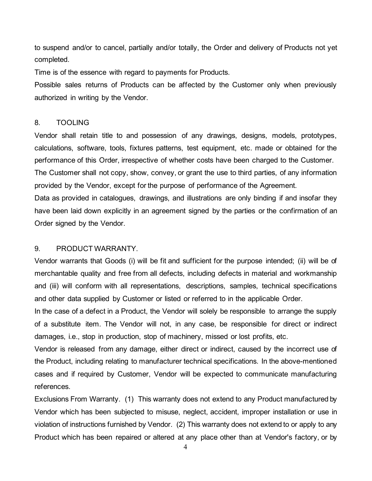to suspend and/or to cancel, partially and/or totally, the Order and delivery of Products not yet completed.

Time is of the essence with regard to payments for Products.

Possible sales returns of Products can be affected by the Customer only when previously authorized in writing by the Vendor.

## 8. TOOLING

Vendor shall retain title to and possession of any drawings, designs, models, prototypes, calculations, software, tools, fixtures patterns, test equipment, etc. made or obtained for the performance of this Order, irrespective of whether costs have been charged to the Customer. The Customer shall not copy, show, convey, or grant the use to third parties, of any information provided by the Vendor, except for the purpose of performance of the Agreement. Data as provided in catalogues, drawings, and illustrations are only binding if and insofar they have been laid down explicitly in an agreement signed by the parties or the confirmation of an Order signed by the Vendor.

## 9. PRODUCT WARRANTY.

Vendor warrants that Goods (i) will be fit and sufficient for the purpose intended; (ii) will be of merchantable quality and free from all defects, including defects in material and workmanship and (iii) will conform with all representations, descriptions, samples, technical specifications and other data supplied by Customer or listed or referred to in the applicable Order.

In the case of a defect in a Product, the Vendor will solely be responsible to arrange the supply of a substitute item. The Vendor will not, in any case, be responsible for direct or indirect damages, i.e., stop in production, stop of machinery, missed or lost profits, etc.

Vendor is released from any damage, either direct or indirect, caused by the incorrect use of the Product, including relating to manufacturer technical specifications. In the above-mentioned cases and if required by Customer, Vendor will be expected to communicate manufacturing references.

Exclusions From Warranty. (1) This warranty does not extend to any Product manufactured by Vendor which has been subjected to misuse, neglect, accident, improper installation or use in violation of instructions furnished by Vendor. (2) This warranty does not extend to or apply to any Product which has been repaired or altered at any place other than at Vendor's factory, or by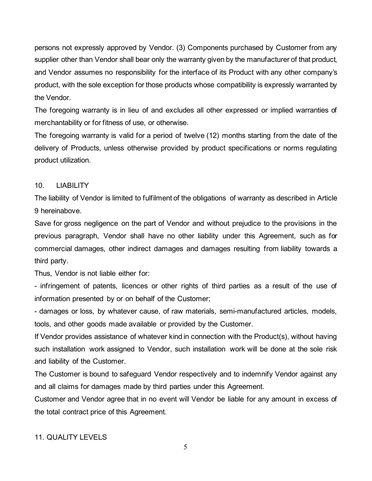persons not expressly approved by Vendor. (3) Components purchased by Customer from any supplier other than Vendor shall bear only the warranty given by the manufacturer of that product, and Vendor assumes no responsibility for the interface of its Product with any other company's product, with the sole exception for those products whose compatibility is expressly warranted by the Vendor.

The foregoing warranty is in lieu of and excludes all other expressed or implied warranties of merchantability or for fitness of use, or otherwise.

The foregoing warranty is valid for a period of twelve (12) months starting from the date of the delivery of Products, unless otherwise provided by product specifications or norms regulating product utilization.

## 10. LIABILITY

The liability of Vendor is limited to fulfilment of the obligations of warranty as described in Article 9 hereinabove.

Save for gross negligence on the part of Vendor and without prejudice to the provisions in the previous paragraph, Vendor shall have no other liability under this Agreement, such as for commercial damages, other indirect damages and damages resulting from liability towards a third party.

Thus, Vendor is not liable either for:

- infringement of patents, licences or other rights of third parties as a result of the use of information presented by or on behalf of the Customer;

- damages or loss, by whatever cause, of raw materials, semi-manufactured articles, models, tools, and other goods made available or provided by the Customer.

If Vendor provides assistance of whatever kind in connection with the Product(s), without having such installation work assigned to Vendor, such installation work will be done at the sole risk and liability of the Customer.

The Customer is bound to safeguard Vendor respectively and to indemnify Vendor against any and all claims for damages made by third parties under this Agreement.

Customer and Vendor agree that in no event will Vendor be liable for any amount in excess of the total contract price of this Agreement.

# 11. QUALITY LEVELS

5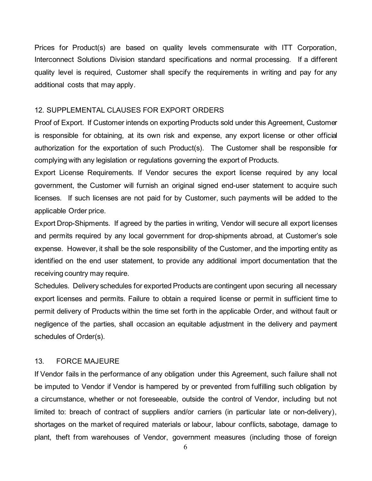Prices for Product(s) are based on quality levels commensurate with ITT Corporation, Interconnect Solutions Division standard specifications and normal processing. If a different quality level is required, Customer shall specify the requirements in writing and pay for any additional costs that may apply.

#### 12. SUPPLEMENTAL CLAUSES FOR EXPORT ORDERS

Proof of Export. If Customer intends on exporting Products sold under this Agreement, Customer is responsible for obtaining, at its own risk and expense, any export license or other official authorization for the exportation of such Product(s). The Customer shall be responsible for complying with any legislation or regulations governing the export of Products.

Export License Requirements. If Vendor secures the export license required by any local government, the Customer will furnish an original signed end-user statement to acquire such licenses. If such licenses are not paid for by Customer, such payments will be added to the applicable Order price.

Export Drop-Shipments. If agreed by the parties in writing, Vendor will secure all export licenses and permits required by any local government for drop-shipments abroad, at Customer's sole expense. However, it shall be the sole responsibility of the Customer, and the importing entity as identified on the end user statement, to provide any additional import documentation that the receiving country may require.

Schedules. Delivery schedules for exported Products are contingent upon securing all necessary export licenses and permits. Failure to obtain a required license or permit in sufficient time to permit delivery of Products within the time set forth in the applicable Order, and without fault or negligence of the parties, shall occasion an equitable adjustment in the delivery and payment schedules of Order(s).

### 13. FORCE MAJEURE

If Vendor fails in the performance of any obligation under this Agreement, such failure shall not be imputed to Vendor if Vendor is hampered by or prevented from fulfilling such obligation by a circumstance, whether or not foreseeable, outside the control of Vendor, including but not limited to: breach of contract of suppliers and/or carriers (in particular late or non-delivery), shortages on the market of required materials or labour, labour conflicts, sabotage, damage to plant, theft from warehouses of Vendor, government measures (including those of foreign